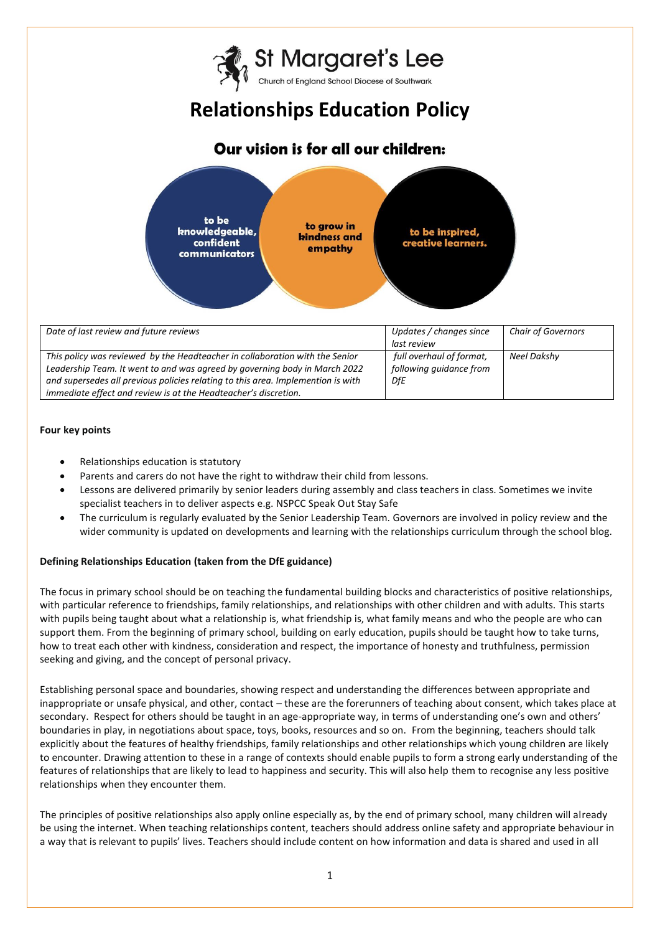

| Date of last review and future reviews                                           | Updates / changes since  | <b>Chair of Governors</b> |
|----------------------------------------------------------------------------------|--------------------------|---------------------------|
|                                                                                  | last review              |                           |
| This policy was reviewed by the Headteacher in collaboration with the Senior     | full overhaul of format, | Neel Dakshy               |
| Leadership Team. It went to and was agreed by governing body in March 2022       | following guidance from  |                           |
| and supersedes all previous policies relating to this area. Implemention is with | DfE                      |                           |
| immediate effect and review is at the Headteacher's discretion.                  |                          |                           |

## **Four key points**

- Relationships education is statutory
- Parents and carers do not have the right to withdraw their child from lessons.
- Lessons are delivered primarily by senior leaders during assembly and class teachers in class. Sometimes we invite specialist teachers in to deliver aspects e.g. NSPCC Speak Out Stay Safe
- The curriculum is regularly evaluated by the Senior Leadership Team. Governors are involved in policy review and the wider community is updated on developments and learning with the relationships curriculum through the school blog.

### **Defining Relationships Education (taken from the DfE guidance)**

The focus in primary school should be on teaching the fundamental building blocks and characteristics of positive relationships, with particular reference to friendships, family relationships, and relationships with other children and with adults. This starts with pupils being taught about what a relationship is, what friendship is, what family means and who the people are who can support them. From the beginning of primary school, building on early education, pupils should be taught how to take turns, how to treat each other with kindness, consideration and respect, the importance of honesty and truthfulness, permission seeking and giving, and the concept of personal privacy.

Establishing personal space and boundaries, showing respect and understanding the differences between appropriate and inappropriate or unsafe physical, and other, contact – these are the forerunners of teaching about consent, which takes place at secondary. Respect for others should be taught in an age-appropriate way, in terms of understanding one's own and others' boundaries in play, in negotiations about space, toys, books, resources and so on. From the beginning, teachers should talk explicitly about the features of healthy friendships, family relationships and other relationships which young children are likely to encounter. Drawing attention to these in a range of contexts should enable pupils to form a strong early understanding of the features of relationships that are likely to lead to happiness and security. This will also help them to recognise any less positive relationships when they encounter them.

The principles of positive relationships also apply online especially as, by the end of primary school, many children will already be using the internet. When teaching relationships content, teachers should address online safety and appropriate behaviour in a way that is relevant to pupils' lives. Teachers should include content on how information and data is shared and used in all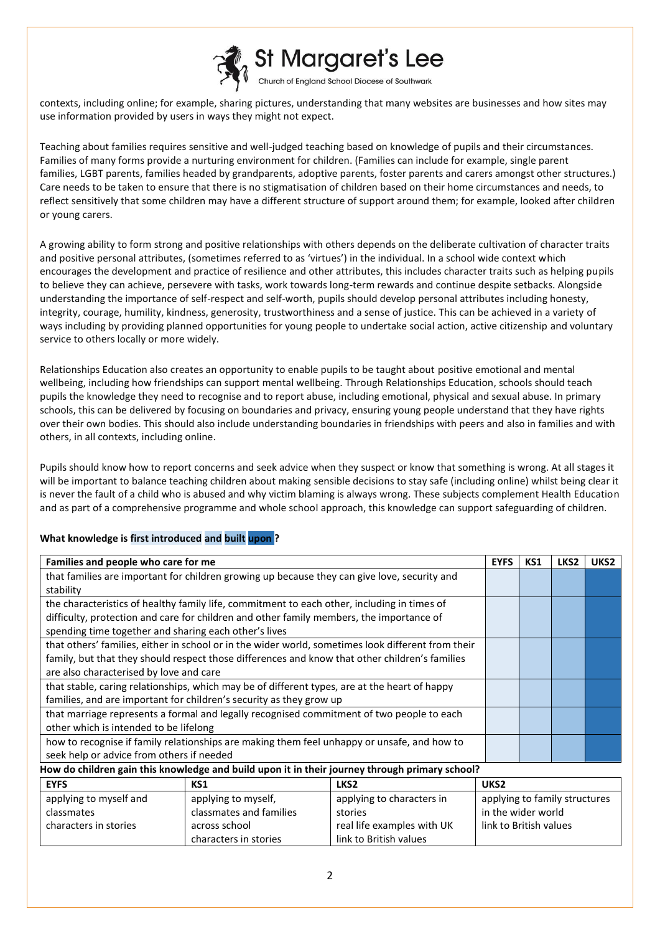

contexts, including online; for example, sharing pictures, understanding that many websites are businesses and how sites may use information provided by users in ways they might not expect.

Teaching about families requires sensitive and well-judged teaching based on knowledge of pupils and their circumstances. Families of many forms provide a nurturing environment for children. (Families can include for example, single parent families, LGBT parents, families headed by grandparents, adoptive parents, foster parents and carers amongst other structures.) Care needs to be taken to ensure that there is no stigmatisation of children based on their home circumstances and needs, to reflect sensitively that some children may have a different structure of support around them; for example, looked after children or young carers.

A growing ability to form strong and positive relationships with others depends on the deliberate cultivation of character traits and positive personal attributes, (sometimes referred to as 'virtues') in the individual. In a school wide context which encourages the development and practice of resilience and other attributes, this includes character traits such as helping pupils to believe they can achieve, persevere with tasks, work towards long-term rewards and continue despite setbacks. Alongside understanding the importance of self-respect and self-worth, pupils should develop personal attributes including honesty, integrity, courage, humility, kindness, generosity, trustworthiness and a sense of justice. This can be achieved in a variety of ways including by providing planned opportunities for young people to undertake social action, active citizenship and voluntary service to others locally or more widely.

Relationships Education also creates an opportunity to enable pupils to be taught about positive emotional and mental wellbeing, including how friendships can support mental wellbeing. Through Relationships Education, schools should teach pupils the knowledge they need to recognise and to report abuse, including emotional, physical and sexual abuse. In primary schools, this can be delivered by focusing on boundaries and privacy, ensuring young people understand that they have rights over their own bodies. This should also include understanding boundaries in friendships with peers and also in families and with others, in all contexts, including online.

Pupils should know how to report concerns and seek advice when they suspect or know that something is wrong. At all stages it will be important to balance teaching children about making sensible decisions to stay safe (including online) whilst being clear it is never the fault of a child who is abused and why victim blaming is always wrong. These subjects complement Health Education and as part of a comprehensive programme and whole school approach, this knowledge can support safeguarding of children.

| Families and people who care for me                                                           |                     |                                                                                                    | <b>EYFS</b>      | KS1 | LKS <sub>2</sub> | UKS <sub>2</sub> |
|-----------------------------------------------------------------------------------------------|---------------------|----------------------------------------------------------------------------------------------------|------------------|-----|------------------|------------------|
|                                                                                               |                     | that families are important for children growing up because they can give love, security and       |                  |     |                  |                  |
| stability                                                                                     |                     |                                                                                                    |                  |     |                  |                  |
|                                                                                               |                     | the characteristics of healthy family life, commitment to each other, including in times of        |                  |     |                  |                  |
|                                                                                               |                     | difficulty, protection and care for children and other family members, the importance of           |                  |     |                  |                  |
| spending time together and sharing each other's lives                                         |                     |                                                                                                    |                  |     |                  |                  |
|                                                                                               |                     | that others' families, either in school or in the wider world, sometimes look different from their |                  |     |                  |                  |
|                                                                                               |                     | family, but that they should respect those differences and know that other children's families     |                  |     |                  |                  |
| are also characterised by love and care                                                       |                     |                                                                                                    |                  |     |                  |                  |
| that stable, caring relationships, which may be of different types, are at the heart of happy |                     |                                                                                                    |                  |     |                  |                  |
| families, and are important for children's security as they grow up                           |                     |                                                                                                    |                  |     |                  |                  |
| that marriage represents a formal and legally recognised commitment of two people to each     |                     |                                                                                                    |                  |     |                  |                  |
| other which is intended to be lifelong                                                        |                     |                                                                                                    |                  |     |                  |                  |
|                                                                                               |                     | how to recognise if family relationships are making them feel unhappy or unsafe, and how to        |                  |     |                  |                  |
| seek help or advice from others if needed                                                     |                     |                                                                                                    |                  |     |                  |                  |
|                                                                                               |                     | How do children gain this knowledge and build upon it in their journey through primary school?     |                  |     |                  |                  |
| <b>EYFS</b>                                                                                   | KS1                 | LKS <sub>2</sub>                                                                                   | UKS <sub>2</sub> |     |                  |                  |
| applying to myself and                                                                        | applying to myself. | applying to family structures<br>applying to characters in                                         |                  |     |                  |                  |

### **What knowledge is first introduced and built upon ?**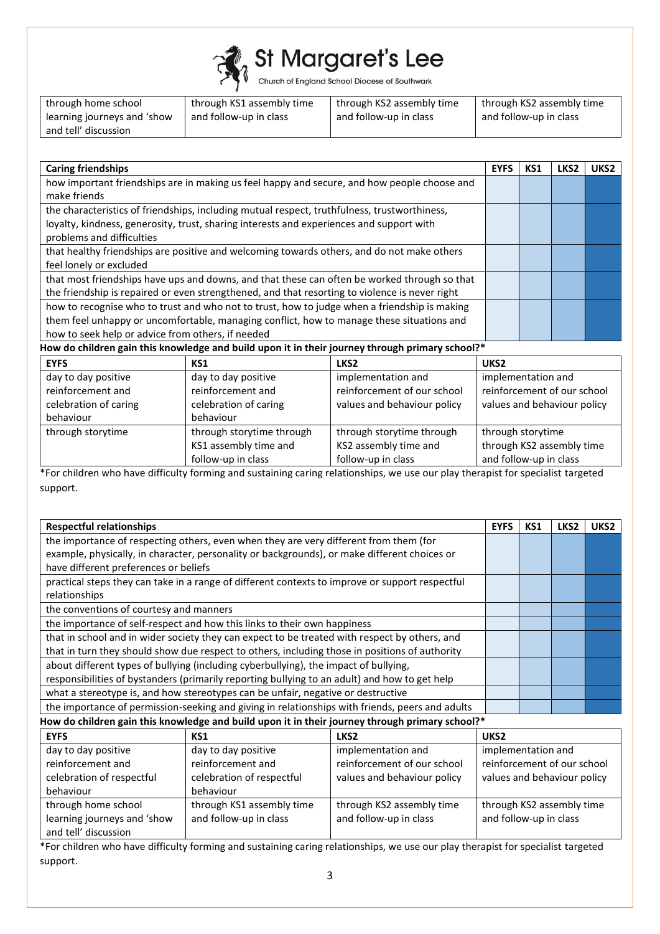

# St Margaret's Lee

through home school learning journeys and 'show and tell' discussion

through KS1 assembly time and follow-up in class

through KS2 assembly time and follow-up in class

through KS2 assembly time and follow-up in class

| <b>Caring friendships</b>                                                                      | <b>EYFS</b> | KS1 | LKS <sub>2</sub> | UKS <sub>2</sub> |
|------------------------------------------------------------------------------------------------|-------------|-----|------------------|------------------|
| how important friendships are in making us feel happy and secure, and how people choose and    |             |     |                  |                  |
| make friends                                                                                   |             |     |                  |                  |
| the characteristics of friendships, including mutual respect, truthfulness, trustworthiness,   |             |     |                  |                  |
| loyalty, kindness, generosity, trust, sharing interests and experiences and support with       |             |     |                  |                  |
| problems and difficulties                                                                      |             |     |                  |                  |
| that healthy friendships are positive and welcoming towards others, and do not make others     |             |     |                  |                  |
| feel lonely or excluded                                                                        |             |     |                  |                  |
| that most friendships have ups and downs, and that these can often be worked through so that   |             |     |                  |                  |
| the friendship is repaired or even strengthened, and that resorting to violence is never right |             |     |                  |                  |
| how to recognise who to trust and who not to trust, how to judge when a friendship is making   |             |     |                  |                  |
| them feel unhappy or uncomfortable, managing conflict, how to manage these situations and      |             |     |                  |                  |
| how to seek help or advice from others, if needed                                              |             |     |                  |                  |

**How do children gain this knowledge and build upon it in their journey through primary school?\***

| <b>EYFS</b>           | KS1                       | LKS <sub>2</sub>            | UKS <sub>2</sub>            |
|-----------------------|---------------------------|-----------------------------|-----------------------------|
| day to day positive   | day to day positive       | implementation and          | implementation and          |
| reinforcement and     | reinforcement and         | reinforcement of our school | reinforcement of our school |
| celebration of caring | celebration of caring     | values and behaviour policy | values and behaviour policy |
| behaviour             | behaviour                 |                             |                             |
| through storytime     | through storytime through | through storytime through   | through storytime           |
|                       | KS1 assembly time and     | KS2 assembly time and       | through KS2 assembly time   |
|                       | follow-up in class        | follow-up in class          | and follow-up in class      |

\*For children who have difficulty forming and sustaining caring relationships, we use our play therapist for specialist targeted support.

| <b>Respectful relationships</b>                                                                 | <b>EYFS</b> | KS1 | LKS <sub>2</sub> | UKS <sub>2</sub> |
|-------------------------------------------------------------------------------------------------|-------------|-----|------------------|------------------|
| the importance of respecting others, even when they are very different from them (for           |             |     |                  |                  |
| example, physically, in character, personality or backgrounds), or make different choices or    |             |     |                  |                  |
| have different preferences or beliefs                                                           |             |     |                  |                  |
| practical steps they can take in a range of different contexts to improve or support respectful |             |     |                  |                  |
| relationships                                                                                   |             |     |                  |                  |
| the conventions of courtesy and manners                                                         |             |     |                  |                  |
| the importance of self-respect and how this links to their own happiness                        |             |     |                  |                  |
| that in school and in wider society they can expect to be treated with respect by others, and   |             |     |                  |                  |
| that in turn they should show due respect to others, including those in positions of authority  |             |     |                  |                  |
| about different types of bullying (including cyberbullying), the impact of bullying,            |             |     |                  |                  |
| responsibilities of bystanders (primarily reporting bullying to an adult) and how to get help   |             |     |                  |                  |
| what a stereotype is, and how stereotypes can be unfair, negative or destructive                |             |     |                  |                  |
| the importance of permission-seeking and giving in relationships with friends, peers and adults |             |     |                  |                  |

## **How do children gain this knowledge and build upon it in their journey through primary school?\***

| <b>EYFS</b>                 | KS1                       | LKS <sub>2</sub>            | UKS <sub>2</sub>            |
|-----------------------------|---------------------------|-----------------------------|-----------------------------|
| day to day positive         | day to day positive       | implementation and          | implementation and          |
| reinforcement and           | reinforcement and         | reinforcement of our school | reinforcement of our school |
| celebration of respectful   | celebration of respectful | values and behaviour policy | values and behaviour policy |
| behaviour                   | behaviour                 |                             |                             |
| through home school         | through KS1 assembly time | through KS2 assembly time   | through KS2 assembly time   |
| learning journeys and 'show | and follow-up in class    | and follow-up in class      | and follow-up in class      |
| and tell' discussion        |                           |                             |                             |

\*For children who have difficulty forming and sustaining caring relationships, we use our play therapist for specialist targeted support.